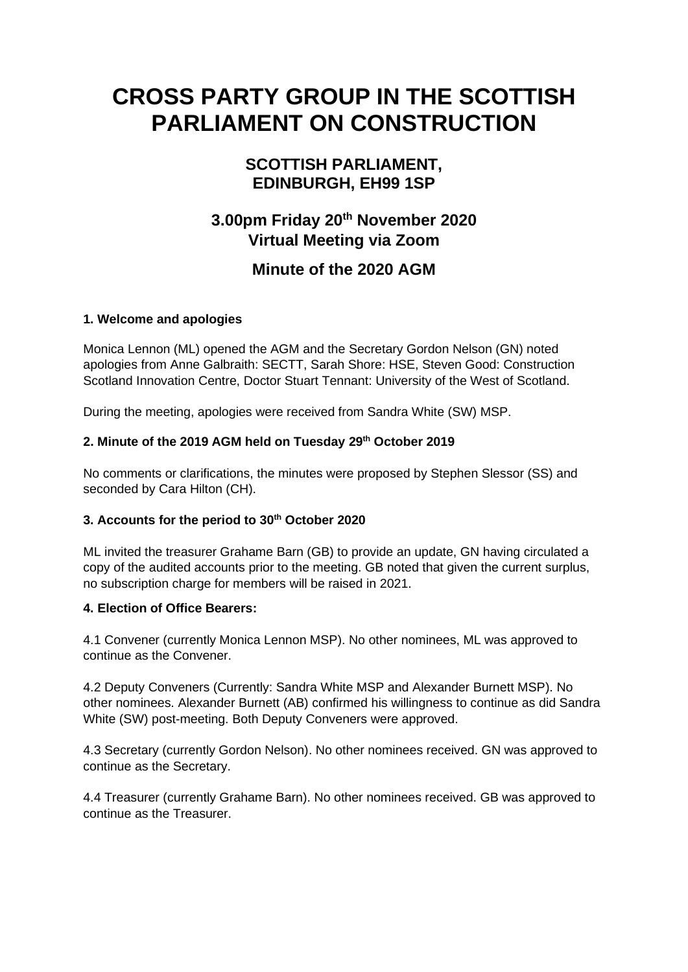# **CROSS PARTY GROUP IN THE SCOTTISH PARLIAMENT ON CONSTRUCTION**

# **SCOTTISH PARLIAMENT, EDINBURGH, EH99 1SP**

# **3.00pm Friday 20 th November 2020 Virtual Meeting via Zoom**

# **Minute of the 2020 AGM**

## **1. Welcome and apologies**

Monica Lennon (ML) opened the AGM and the Secretary Gordon Nelson (GN) noted apologies from Anne Galbraith: SECTT, Sarah Shore: HSE, Steven Good: Construction Scotland Innovation Centre, Doctor Stuart Tennant: University of the West of Scotland.

During the meeting, apologies were received from Sandra White (SW) MSP.

## **2. Minute of the 2019 AGM held on Tuesday 29th October 2019**

No comments or clarifications, the minutes were proposed by Stephen Slessor (SS) and seconded by Cara Hilton (CH).

## **3. Accounts for the period to 30th October 2020**

ML invited the treasurer Grahame Barn (GB) to provide an update, GN having circulated a copy of the audited accounts prior to the meeting. GB noted that given the current surplus, no subscription charge for members will be raised in 2021.

## **4. Election of Office Bearers:**

4.1 Convener (currently Monica Lennon MSP). No other nominees, ML was approved to continue as the Convener.

4.2 Deputy Conveners (Currently: Sandra White MSP and Alexander Burnett MSP). No other nominees. Alexander Burnett (AB) confirmed his willingness to continue as did Sandra White (SW) post-meeting. Both Deputy Conveners were approved.

4.3 Secretary (currently Gordon Nelson). No other nominees received. GN was approved to continue as the Secretary.

4.4 Treasurer (currently Grahame Barn). No other nominees received. GB was approved to continue as the Treasurer.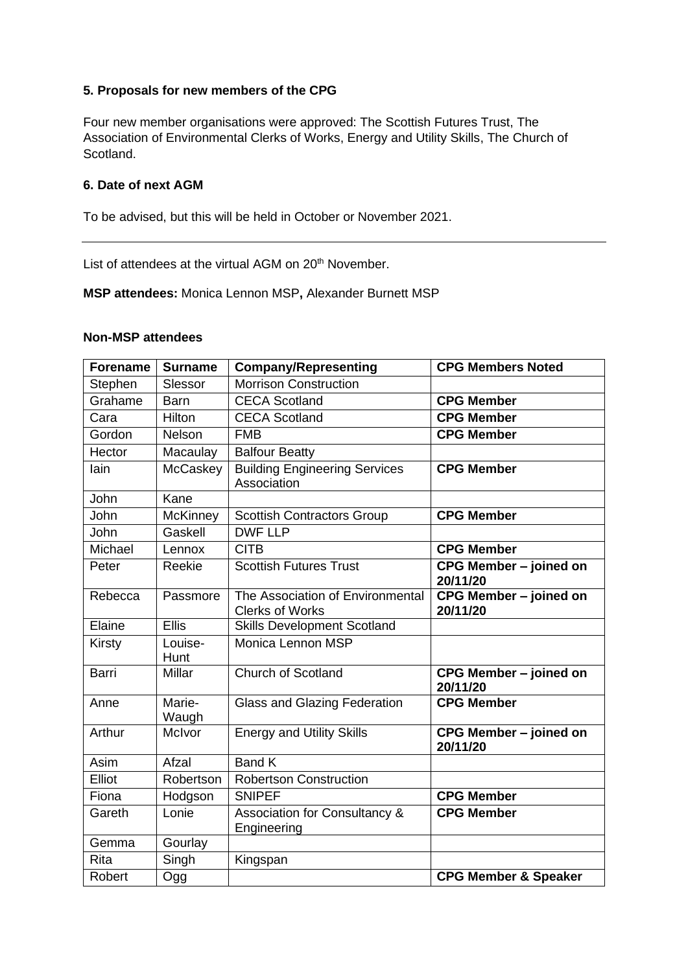#### **5. Proposals for new members of the CPG**

Four new member organisations were approved: The Scottish Futures Trust, The Association of Environmental Clerks of Works, Energy and Utility Skills, The Church of Scotland.

#### **6. Date of next AGM**

To be advised, but this will be held in October or November 2021.

List of attendees at the virtual AGM on 20<sup>th</sup> November.

**MSP attendees:** Monica Lennon MSP**,** Alexander Burnett MSP

#### **Non-MSP attendees**

| <b>Forename</b> | <b>Surname</b>  | <b>Company/Representing</b>                                | <b>CPG Members Noted</b>           |
|-----------------|-----------------|------------------------------------------------------------|------------------------------------|
| Stephen         | Slessor         | <b>Morrison Construction</b>                               |                                    |
| Grahame         | <b>Barn</b>     | <b>CECA Scotland</b>                                       | <b>CPG Member</b>                  |
| Cara            | Hilton          | <b>CECA Scotland</b>                                       | <b>CPG Member</b>                  |
| Gordon          | <b>Nelson</b>   | <b>FMB</b>                                                 | <b>CPG Member</b>                  |
| Hector          | Macaulay        | <b>Balfour Beatty</b>                                      |                                    |
| lain            | McCaskey        | <b>Building Engineering Services</b><br>Association        | <b>CPG Member</b>                  |
| John            | Kane            |                                                            |                                    |
| John            | <b>McKinney</b> | <b>Scottish Contractors Group</b>                          | <b>CPG Member</b>                  |
| John            | Gaskell         | <b>DWF LLP</b>                                             |                                    |
| Michael         | Lennox          | <b>CITB</b>                                                | <b>CPG Member</b>                  |
| Peter           | Reekie          | <b>Scottish Futures Trust</b>                              | CPG Member - joined on<br>20/11/20 |
| Rebecca         | Passmore        | The Association of Environmental<br><b>Clerks of Works</b> | CPG Member - joined on<br>20/11/20 |
| Elaine          | <b>Ellis</b>    | <b>Skills Development Scotland</b>                         |                                    |
| <b>Kirsty</b>   | Louise-<br>Hunt | Monica Lennon MSP                                          |                                    |
| <b>Barri</b>    | Millar          | Church of Scotland                                         | CPG Member - joined on<br>20/11/20 |
| Anne            | Marie-<br>Waugh | <b>Glass and Glazing Federation</b>                        | <b>CPG Member</b>                  |
| Arthur          | McIvor          | <b>Energy and Utility Skills</b>                           | CPG Member - joined on<br>20/11/20 |
| Asim            | Afzal           | <b>Band K</b>                                              |                                    |
| Elliot          | Robertson       | <b>Robertson Construction</b>                              |                                    |
| Fiona           | Hodgson         | <b>SNIPEF</b>                                              | <b>CPG Member</b>                  |
| Gareth          | Lonie           | Association for Consultancy &<br>Engineering               | <b>CPG Member</b>                  |
| Gemma           | Gourlay         |                                                            |                                    |
| Rita            | Singh           | Kingspan                                                   |                                    |
| Robert          | Ogg             |                                                            | <b>CPG Member &amp; Speaker</b>    |